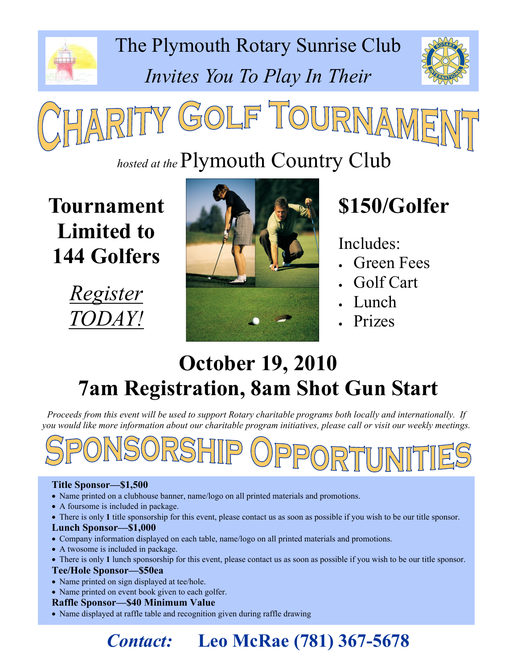

The Plymouth Rotary Sunrise Club Invites You To Play In Their





## hosted at the Plymouth Country Club

Tournament Limited to 144 Golfers





# \$150/Golfer

Includes:

- Green Fees
- Golf Cart
- Lunch
- **Prizes**

## October 19, 2010 7am Registration, 8am Shot Gun Start

Proceeds from this event will be used to support Rotary charitable programs both locally and internationally. If you would like more information about our charitable program initiatives, please call or visit our weekly meetings.



#### Title Sponsor—\$1,500

- Name printed on a clubhouse banner, name/logo on all printed materials and promotions.
- A foursome is included in package.
- There is only 1 title sponsorship for this event, please contact us as soon as possible if you wish to be our title sponsor.

#### Lunch Sponsor—\$1,000

- Company information displayed on each table, name/logo on all printed materials and promotions.
- A twosome is included in package.
- There is only 1 lunch sponsorship for this event, please contact us as soon as possible if you wish to be our title sponsor.

#### Tee/Hole Sponsor—\$50ea

- Name printed on sign displayed at tee/hole.
- Name printed on event book given to each golfer.

#### Raffle Sponsor—\$40 Minimum Value

• Name displayed at raffle table and recognition given during raffle drawing

## Contact: Leo McRae (781) 367-5678